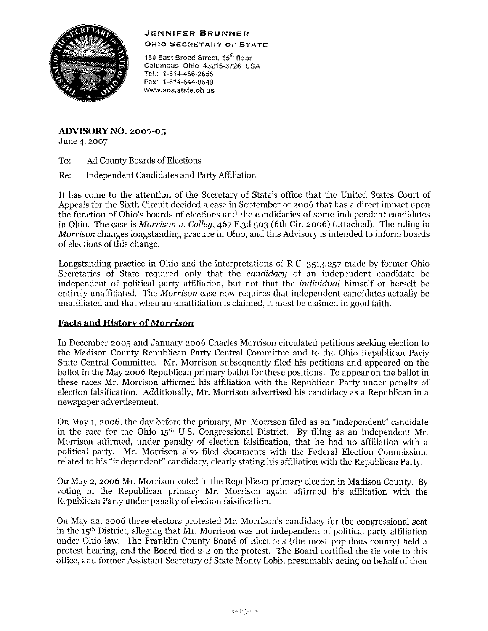# JENNIFER **BRUNNER**



OHIO SECRETARY OF STATE

180 East Broad Street, 15<sup>th</sup> floor Coiumbus, Ohio 43215-3726 USA Tel,: 1-614-466-2655 Fax: 1-614-644-0649 **www.sos.state.oh.us** 

**ADVISORYNO. 2007-05**  June 4, 2007

To: All County Boards of Elections

Re: Independent Candidates and Party Affiliation

It has come to the attention of the Secretary of State's office that the United States Court of Appeals for the Sixth Circuit decided a case in September of 2006 that has a direct impact upon the function of Ohio's boards of elections and the candidacies of some independent candidates in Ohio, The case is *Morrison v, Colley,* 467 F,3d 503 (6th Cir, 2006) (attached), The ruling in *Morrison* changes longstanding practice in Ohio, and this Advisory is intended to inform boards of elections of this change,

Longstanding practice in Ohio and the interpretations of R.C. 3513.257 made by former Ohio Secretaries of State required only that the *candidacy* of an independent candidate be independent of political party affiliation, but not that the *individual* himself or herself be entirely unaffiliated, The *Morrison* case now requires that independent candidates actually be unaffiliated and that when an unaffiliation is claimed, it must be claimed in good faith,

# **Facts and History of***Morrison*

In December 2005 and January 2006 Charles Morrison circulated petitions seeking election to the Madison County Republican Party Central Committee and to the Ohio Republican Party State Central Committee, Mr, Morrison subsequently filed his petitions and appeared on the ballot in the May 2006 Republican primary ballot for these positions, To appear on the ballot in these races Mr, Morrison affirmed his affiliation with the Republican Party under penalty of election falsification. Additionally, Mr, Morrison advertised his candidacy as a Republican in a newspaper advertisement,

On May 1, 2006, the day before the primary, Mr, Morrison filed as an "independent" candidate in the race for the Ohio  $15<sup>th</sup>$  U.S. Congressional District. By filing as an independent Mr, Morrison affirmed, under penalty of election falsification, that he had no affiliation with a political party. Mr. Morrison also filed documents with the Federal Election Commission, related to his "independent" candidacy, clearly stating his affiliation with the Republican Party,

On May 2, 2006 Mr, Morrison voted in the Republican primary election in Madison County, By voting in the Republican primary Mr, Morrison again affirmed his affiliation with the Republican Party under penalty of election falsification.

On May 22, 2006 three electors protested Mr, Morrison's candidacy for the congressional seat in the 15th District, alleging that Mr, Morrison was not independent of political party affiliation under Ohio law, The Franklin County Board of Elections (the most populous county) held a protest hearing, and the Board tied 2-2 on the protest, The Board certified the tie vote to this office, and former Assistant Secretary of State Monty Lobb, presumably acting on behalf of then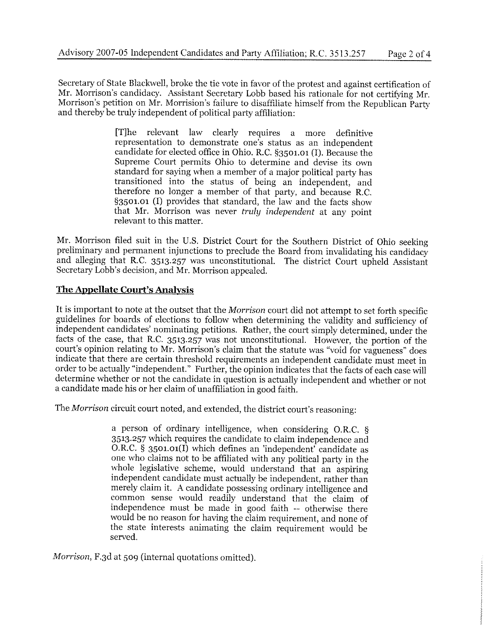Secretary of State Blackwell, broke the tie vote in favor of the protest and against certification of Mr. Morrison's candidacy. Assistant Secretary Lobb based his rationale for not certifying Mr. Morrison's petition on Mr. Morrision's failure to disaffiliate himself from the Republican Party and thereby be truly independent of political party affiliation:

> [T]he relevant law clearly requires a more definitive representation to demonstrate one's status as an independent candidate for elected office in Ohio. R.C. §3501.01 (I). Because the Supreme Court permits Ohio to determine and devise its own standard for saying when a member of a major political party has transitioned into the status of being an independent, and therefore no longer a member of that party, and because R.C. §3501.01 (I) provides that standard, the law and the facts show that Mr. Morrison was never *truly independent* at any point relevant to this matter.

Mr. Morrison filed suit in the U.S. District Court for the Southern District of Ohio seeking preliminary and permanent injunctions to preclude the Board from invalidating his candidacy and alleging that R.C. 3513.257 was unconstitutional. The district Court upheld Assistant Secretary Lobb's decision, and Mr. Morrison appealed.

# **The Appellate Court's Analysis**

It is important to note at the outset that the *Morrison* court did not attempt to set forth specific guidelines for boards of elections to follow when determining the validity and sufficiency of independent candidates' nominating petitions. Rather, the court simply determined, under the facts of the case, that R.C. 3513.257 was not unconstitutional. However, the portion of the court's opinion relating to Mr. Morrison's claim that the statute was "void for vagueness" does indicate that there are certain threshold requirements an independent candidate must meet in order to be actually "independent." Further, the opinion indicates that the facts of each case will determine whether or not the candidate in question is actually independent and whether or not a candidate made his or her claim of unaffiliation in good faith.

The *Morrison* circuit court noted, and extended, the district court's reasoning:

a person of ordinary intelligence, when considering O.R.C. § 3513.257 which requires the candidate to claim independence and O.R.C. § 3501.01(1) which defines an 'independent' candidate as one who claims not to be affiliated with any political party in the whole legislative scheme, would understand that an aspiring independent candidate must actually be independent, rather than merely claim it. A candidate possessing ordinary intelligence and common sense would readily understand that the claim of independence must be made in good faith -- otherwise there would be no reason for having the claim requirement, and none of the state interests animating the claim requirement would be served.

*Morrison,* F.3d at 509 (internal quotations omitted).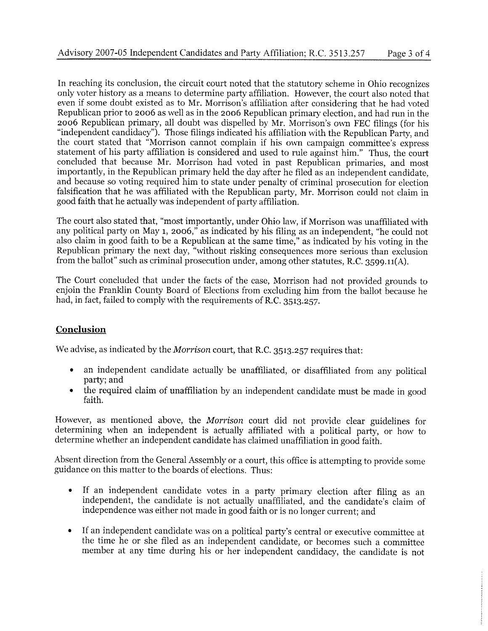In reaching its conclusion, the circuit court noted that the statutory scheme in Ohio recognizes only voter history as a means to determine party affiliation. However, the court also noted that even if some doubt existed as to Mr. Morrison's affiliation after considering that he had voted Republican prior to 2006 as well as in the 2006 Republican primary election, and had run in the 2006 Republican primary, all doubt was dispelled by Mr. Morrison's own FEC filings (for his "independent candidacy"). Those filings indicated his affiliation with the Republican Party, and the court stated that "Morrison cannot complain if his own campaign committee's express statement of his party affiliation is considered and used to rule against him." Thus, the court concluded that because Mr. Morrison had voted in past Republican primaries, and most importantly, in the Republican primary held the day after he filed as an independent candidate, and because so voting required him to state under penalty of criminal prosecution for election falsification that he was affiliated with the Republican party, Mr. Morrison could not claim in good faith that he actually was independent of party affiliation.

The court also stated that, "most importantly, under Ohio law, if Morrison was unaffiliated with any political party on May 1, 2006," as indicated by his filing as an independent, "he could not also claim in good faith to be a Republican at the same time," as indicated by his voting in the Republican primary the next day, "without risking consequences more serious than exclusion from the ballot" such as criminal prosecution under, among other statutes, R.C. 3599.11(A).

The Court concluded that under the facts of the case, Morrison had not provided grounds to enjoin the Franklin County Board of Elections from excluding him from the ballot because he had, in fact, failed to comply with the requirements of R.C. 3513.257.

# **Conclusion**

We advise, as indicated by the *Morrison* court, that R.C. 3513.257 requires that:

- an independent candidate actually be unaffiliated, or disaffiliated from any political party; and
- the required claim of unaffiliation by an independent candidate must be made in good faith.

However, as mentioned above, the *Morrison* court did not provide clear guidelines for determining when an independent is actually affiliated with a political party, or how to determine whether an independent candidate has claimed unaffiliation in good faith.

Absent direction from the General Assembly or a court, this office is attempting to provide some guidance on this matter to the boards of elections. Thus:

- If an independent candidate votes in a party primary election after filing as an independent, the candidate is not actually unaffiliated, and the candidate's claim of independence was either not made in good faith or is no longer current; and
- If an independent candidate was on a political party's central or executive committee at the time he or she filed as an independent candidate, or becomes such a committee member at any time during his or her independent candidacy, the candidate is not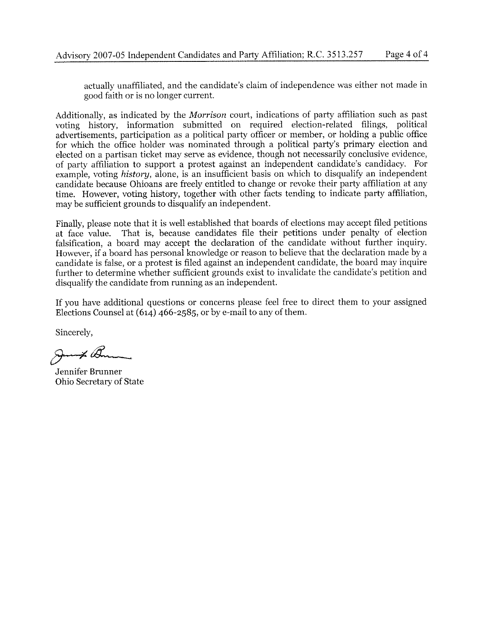actually unaffiliated, and the candidate's claim of independence was either not made in good faith or is no longer current.

Additionally, as indicated by the *Morrison* court, indications of party affiliation such as past voting history, information submitted on required election-related filings, political advertisements, participation as a political party officer or member, or holding a public office for which the office holder was nominated through a political party's primary election and elected on a partisan ticket may serve as evidence, though not neeessarily conclusive evidence, of party affiliation to support a protest against an independent candidate's candidacy. For example, voting *history,* alone, is an insufficient basis on which to disqualify an independent candidate because Ohioans are freely entitled to change or revoke their party affiliation at any time. However, voting history, together with other facts tending to indicate party affiliation, may be sufficient grounds to disqualify an independent.

Finally, please note that it is well established that boards of elections may accept filed petitions at face value. That is, because candidates file their petitions under penalty of election falsification, a board may accept the declaration of the candidate without further inquiry. However, if a board has personal knowledge or reason to believe that the declaration made by a candidate is false, or a protest is filed against an independent candidate, the board may inquire further to determine whether sufficient grounds exist to invalidate the candidate's petition and disqualify the candidate from running as an independent.

If you have additional questions or concerns please feel free to direct them to your assigned Elections Counsel at (614) 466-2585, or by e-mail to any of them.

Sincerely,

 $\boldsymbol{\mathscr{Z}}\not\cong \mathscr{Q}$ 

Jennifer Brunner Ohio Secretary of State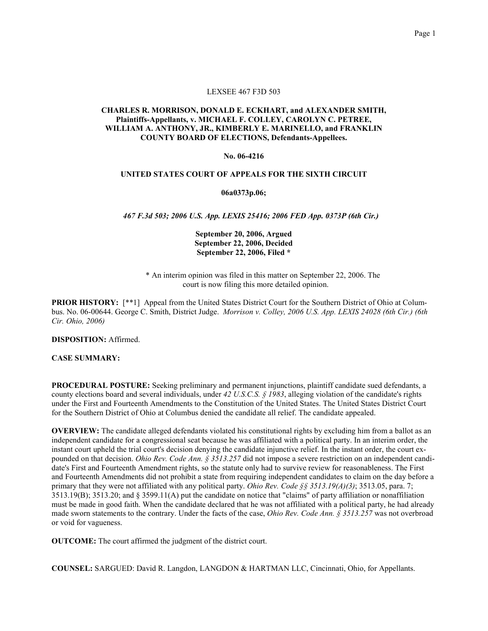#### EXSEE 467 F3D 503

## CHARLES R. MORRISON, DONALD E. ECKHART, and ALEXANDER SMITH, Plaintiffs-Appellants, v. MICHAEL F. COLLEY, CAROLYN C. PETREE, WILLIAM A. ANTHONY, JR., KIMBERLY E. MARINELLO, and FRANKLIN COUNTY BOARD OF ELECTIONS, Defendants-Appellees.

#### No. 06-4216

#### UNITED STATES COURT OF APPEALS FOR THE SIXTH CIRCUIT

06a0373p.06;

467 F.3d 503; 2006 U.S. App. LEXIS 25416; 2006 FED App. 0373P (6th Cir.)

## September 20, 2006, Argued September 22, 2006, Decided September 22, 2006, Filed \*

 \* An interim opinion was filed in this matter on September 22, 2006. The court is now filing this more detailed opinion.

**PRIOR HISTORY:** [\*\*1] Appeal from the United States District Court for the Southern District of Ohio at Columbus. No. 06-00644. George C. Smith, District Judge. Morrison v. Colley, 2006 U.S. App. LEXIS 24028 (6th Cir.) (6th Cir. Ohio, 2006)

DISPOSITION: Affirmed.

**CASE SUMMARY:** 

PROCEDURAL POSTURE: Seeking preliminary and permanent injunctions, plaintiff candidate sued defendants, a county elections board and several individuals, under 42 U.S.C.S.  $\S$  1983, alleging violation of the candidate's rights under the First and Fourteenth Amendments to the Constitution of the United States. The United States District Court for the Southern District of Ohio at Columbus denied the candidate all relief. The candidate appealed.

 OVERVIEW: The candidate alleged defendants violated his constitutional rights by excluding him from a ballot as an independent candidate for a congressional seat because he was affiliated with a political party. In an interim order, the instant court upheld the trial court's decision denying the candidate injunctive relief. In the instant order, the court expounded on that decision. *Ohio Rev. Code Ann.* § 3513.257 did not impose a severe restriction on an independent candi- date's First and Fourteenth Amendment rights, so the statute only had to survive review for reasonableness. The First and Fourteenth Amendments did not prohibit a state from requiring independent candidates to claim on the day before a primary that they were not affiliated with any political party. *Ohio Rev. Code*  $\frac{5}{5}$  3513.19(A)(3); 3513.05, para. 7; 3513.19(B); 3513.20; and § 3599.11(A) put the candidate on notice that "claims" of party affiliation or nonaffiliation must be made in good faith. When the candidate declared that he was not affiliated with a political party, he had already made sworn statements to the contrary. Under the facts of the case, *Ohio Rev. Code Ann.*  $\frac{1}{5}$  3513.257 was not overbroad or void for vagueness.

OUTCOME: The court affirmed the judgment of the district court.

COUNSEL: SARGUED: David R. Langdon, LANGDON & HARTMAN LLC, Cincinnati, Ohio, for Appellants.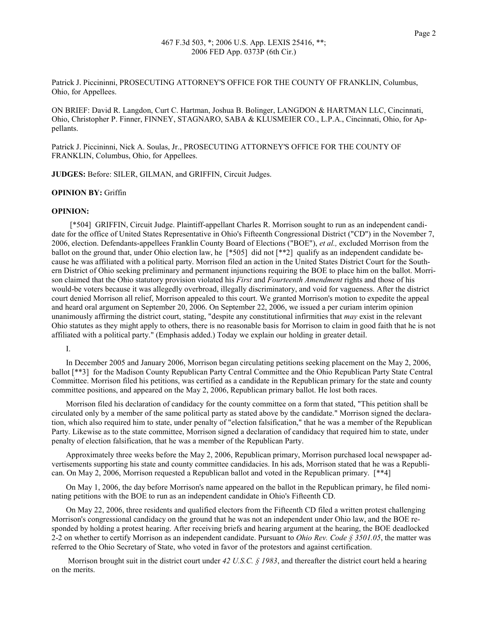Patrick J. Piccininni, PROSECUTING ATTORNEY'S OFFICE FOR THE COUNTY OF FRANKLIN, Columbus, Ohio, for Appellees.

ON BRIEF: David R. Langdon, Curt C. Hartman, Joshua B. Bolinger, LANGDON & HARTMAN LLC, Cincinnati, Ohio, Christopher P. Finner, FINNEY, STAGNARO, SABA & KLUSMEIER CO., L.P.A., Cincinnati, Ohio, for Appellants.

 Patrick J. Piccininni, Nick A. Soulas, Jr., PROSECUTING ATTORNEY'S OFFICE FOR THE COUNTY OF FRANKLIN, Columbus, Ohio, for Appellees.

JUDGES: Before: SILER, GILMAN, and GRIFFIN, Circuit Judges.

#### OPINION BY: Griffin

#### OPINION:

 date for the office of United States Representative in Ohio's Fifteenth Congressional District ("CD") in the November 7, 2006, election. Defendants-appellees Franklin County Board of Elections ("BOE"), et al., excluded Morrison from the ballot on the ground that, under Ohio election law, he [\*505] did not [\*\*2] qualify as an independent candidate be- cause he was affiliated with a political party. Morrison filed an action in the United States District Court for the South- ern District of Ohio seeking preliminary and permanent injunctions requiring the BOE to place him on the ballot. Morrison claimed that the Ohio statutory provision violated his First and Fourteenth Amendment rights and those of his would-be voters because it was allegedly overbroad, illegally discriminatory, and void for vagueness. After the district court denied Morrison all relief, Morrison appealed to this court. We granted Morrison's motion to expedite the appeal and heard oral argument on September 20, 2006. On September 22, 2006, we issued a per curiam interim opinion unanimously affirming the district court, stating, "despite any constitutional infirmities that *may* exist in the relevant Ohio statutes as they might apply to others, there is no reasonable basis for Morrison to claim in good faith that he is not affiliated with a political party." (Emphasis added.) Today we explain our holding in greater detail. [\*504] GRIFFIN, Circuit Judge. Plaintiff-appellant Charles R. Morrison sought to run as an independent candi-

I.

 In December 2005 and January 2006, Morrison began circulating petitions seeking placement on the May 2, 2006, ballot [\*\*3] for the Madison County Republican Party Central Committee and the Ohio Republican Party State Central Committee. Morrison filed his petitions, was certified as a candidate in the Republican primary for the state and county committee positions, and appeared on the May 2, 2006, Republican primary ballot. He lost both races.

 Morrison filed his declaration of candidacy for the county committee on a form that stated, "This petition shall be circulated only by a member of the same political party as stated above by the candidate." Morrison signed the declara- tion, which also required him to state, under penalty of "election falsification," that he was a member of the Republican Party. Likewise as to the state committee, Morrison signed a declaration of candidacy that required him to state, under penalty of election falsification, that he was a member of the Republican Party.

 Approximately three weeks before the May 2, 2006, Republican primary, Morrison purchased local newspaper ad- vertisements supporting his state and county committee candidacies. In his ads, Morrison stated that he was a Republi-can. On May 2, 2006, Morrison requested a Republican ballot and voted in the Republican primary. [\*\*4]

 On May 1, 2006, the day before Morrison's name appeared on the ballot in the Republican primary, he filed nomi-nating petitions with the BOE to run as an independent candidate in Ohio's Fifteenth CD.

 On May 22, 2006, three residents and qualified electors from the Fifteenth CD filed a written protest challenging Morrison's congressional candidacy on the ground that he was not an independent under Ohio law, and the BOE re- sponded by holding a protest hearing. After receiving briefs and hearing argument at the hearing, the BOE deadlocked 2-2 on whether to certify Morrison as an independent candidate. Pursuant to *Ohio Rev. Code*  $\frac{1}{5}$  3501.05, the matter was referred to the Ohio Secretary of State, who voted in favor of the protestors and against certification.

Morrison brought suit in the district court under 42 U.S.C.  $\S$  1983, and thereafter the district court held a hearing on the merits.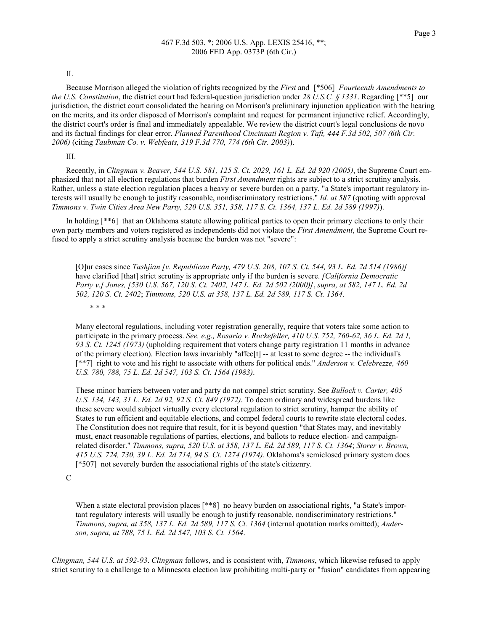II.

Because Morrison alleged the violation of rights recognized by the First and [\*506] Fourteenth Amendments to the U.S. Constitution, the district court had federal-question jurisdiction under 28 U.S.C. § 1331. Regarding [\*\*5] our jurisdiction, the district court consolidated the hearing on Morrison's preliminary injunction application with the hearing on the merits, and its order disposed of Morrison's complaint and request for permanent injunctive relief. Accordingly, the district court's order is final and immediately appealable. We review the district court's legal conclusions de novo and its factual findings for clear error. Planned Parenthood Cincinnati Region v. Taft, 444 F.3d 502, 507 (6th Cir. 2006) (citing Taubman Co. v. Webfeats, 319 F.3d 770, 774 (6th Cir. 2003)).

III.

Recently, in Clingman v. Beaver, 544 U.S. 581, 125 S. Ct. 2029, 161 L. Ed. 2d 920 (2005), the Supreme Court emphasized that not all election regulations that burden First Amendment rights are subject to a strict scrutiny analysis. Rather, unless a state election regulation places a heavy or severe burden on a party, "a State's important regulatory interests will usually be enough to justify reasonable, nondiscriminatory restrictions." Id. at 587 (quoting with approval Timmons v. Twin Cities Area New Party, 520 U.S. 351, 358, 117 S. Ct. 1364, 137 L. Ed. 2d 589 (1997)).

 In holding [\*\*6] that an Oklahoma statute allowing political parties to open their primary elections to only their own party members and voters registered as independents did not violate the First Amendment, the Supreme Court re-fused to apply a strict scrutiny analysis because the burden was not "severe":

 [O]ur cases since Tashjian [v. Republican Party, 479 U.S. 208, 107 S. Ct. 544, 93 L. Ed. 2d 514 (1986)] have clarified [that] strict scrutiny is appropriate only if the burden is severe. [California Democratic Party v.] Jones, [530 U.S. 567, 120 S. Ct. 2402, 147 L. Ed. 2d 502 (2000)], supra, at 582, 147 L. Ed. 2d 502, 120 S. Ct. 2402; Timmons, 520 U.S. at 358, 137 L. Ed. 2d 589, 117 S. Ct. 1364.

# \* \* \*

 Many electoral regulations, including voter registration generally, require that voters take some action to participate in the primary process. See, e.g., Rosario v. Rockefeller, 410 U.S. 752, 760-62, 36 L. Ed. 2d 1, 93 S. Ct. 1245 (1973) (upholding requirement that voters change party registration 11 months in advance of the primary election). Election laws invariably "affec[t] -- at least to some degree -- the individual's [\*\*7] right to vote and his right to associate with others for political ends." Anderson v. Celebrezze, 460 U.S. 780, 788, 75 L. Ed. 2d 547, 103 S. Ct. 1564 (1983).

These minor barriers between voter and party do not compel strict scrutiny. See Bullock v. Carter, 405 U.S. 134, 143, 31 L. Ed. 2d 92, 92 S. Ct. 849 (1972). To deem ordinary and widespread burdens like these severe would subject virtually every electoral regulation to strict scrutiny, hamper the ability of States to run efficient and equitable elections, and compel federal courts to rewrite state electoral codes. The Constitution does not require that result, for it is beyond question "that States may, and inevitably must, enact reasonable regulations of parties, elections, and ballots to reduce election- and campaign- related disorder." Timmons, supra, 520 U.S. at 358, 137 L. Ed. 2d 589, 117 S. Ct. 1364; Storer v. Brown, 415 U.S. 724, 730, 39 L. Ed. 2d 714, 94 S. Ct. 1274 (1974). Oklahoma's semiclosed primary system does [\*507] not severely burden the associational rights of the state's citizenry.

C

When a state electoral provision places [\*\*8] no heavy burden on associational rights, "a State's impor- tant regulatory interests will usually be enough to justify reasonable, nondiscriminatory restrictions." Timmons, supra, at 358, 137 L. Ed. 2d 589, 117 S. Ct. 1364 (internal quotation marks omitted); Ander-son, supra, at 788, 75 L. Ed. 2d 547, 103 S. Ct. 1564.

Clingman, 544 U.S. at 592-93. Clingman follows, and is consistent with, Timmons, which likewise refused to apply strict scrutiny to a challenge to a Minnesota election law prohibiting multi-party or "fusion" candidates from appearing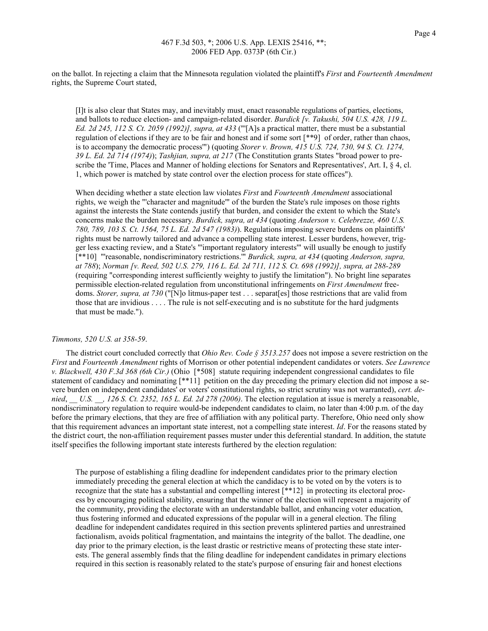on the ballot. In rejecting a claim that the Minnesota regulation violated the plaintiff's First and Fourteenth Amendment rights, the Supreme Court stated,

 [I]t is also clear that States may, and inevitably must, enact reasonable regulations of parties, elections, and ballots to reduce election- and campaign-related disorder. Burdick [v. Takushi, 504 U.S. 428, 119 L. Ed. 2d 245, 112 S. Ct. 2059 (1992)], supra, at 433 ("[A]s a practical matter, there must be a substantial regulation of elections if they are to be fair and honest and if some sort [\*\*9] of order, rather than chaos, is to accompany the democratic process"') (quoting Storer v. Brown, 415 U.S. 724, 730, 94 S. Ct. 1274, 39 L. Ed. 2d 714 (1974)); Tashjian, supra, at 217 (The Constitution grants States "broad power to pre- scribe the 'Time, Places and Manner of holding elections for Senators and Representatives', Art. I, § 4, cl. 1, which power is matched by state control over the election process for state offices").

When deciding whether a state election law violates First and Fourteenth Amendment associational rights, we weigh the "'character and magnitude'" of the burden the State's rule imposes on those rights against the interests the State contends justify that burden, and consider the extent to which the State's concerns make the burden necessary. Burdick, supra, at 434 (quoting Anderson v. Celebrezze, 460 U.S. 780, 789, 103 S. Ct. 1564, 75 L. Ed. 2d 547 (1983)). Regulations imposing severe burdens on plaintiffs' rights must be narrowly tailored and advance a compelling state interest. Lesser burdens, however, trig- ger less exacting review, and a State's "'important regulatory interests'" will usually be enough to justify [\*\*10] "'reasonable, nondiscriminatory restrictions." *Burdick, supra, at 434* (quoting Anderson, supra, at 788); Norman [v. Reed, 502 U.S. 279, 116 L. Ed. 2d 711, 112 S. Ct. 698 (1992)], supra, at 288-289 (requiring "corresponding interest sufficiently weighty to justify the limitation"). No bright line separates permissible election-related regulation from unconstitutional infringements on First Amendment freedoms. Storer, supra, at 730 ("[N]o litmus-paper test . . . separat[es] those restrictions that are valid from those that are invidious . . . . The rule is not self-executing and is no substitute for the hard judgments that must be made.").

# Timmons, 520 U.S. at 358-59.

The district court concluded correctly that *Ohio Rev. Code §* 3513.257 does not impose a severe restriction on the First and Fourteenth Amendment rights of Morrison or other potential independent candidates or voters. See Lawrence v. Blackwell, 430 F.3d 368 (6th Cir.) (Ohio [\*508] statute requiring independent congressional candidates to file statement of candidacy and nominating [\*\*11] petition on the day preceding the primary election did not impose a severe burden on independent candidates' or voters' constitutional rights, so strict scrutiny was not warranted), cert. denied,  $\_$  U.S.  $\_$ , 126 S. Ct. 2352, 165 L. Ed. 2d 278 (2006). The election regulation at issue is merely a reasonable, nondiscriminatory regulation to require would-be independent candidates to claim, no later than 4:00 p.m. of the day before the primary elections, that they are free of affiliation with any political party. Therefore, Ohio need only show that this requirement advances an important state interest, not a compelling state interest. Id. For the reasons stated by the district court, the non-affiliation requirement passes muster under this deferential standard. In addition, the statute itself specifies the following important state interests furthered by the election regulation:

 The purpose of establishing a filing deadline for independent candidates prior to the primary election immediately preceding the general election at which the candidacy is to be voted on by the voters is to recognize that the state has a substantial and compelling interest [\*\*12] in protecting its electoral proc- ess by encouraging political stability, ensuring that the winner of the election will represent a majority of the community, providing the electorate with an understandable ballot, and enhancing voter education, thus fostering informed and educated expressions of the popular will in a general election. The filing deadline for independent candidates required in this section prevents splintered parties and unrestrained factionalism, avoids political fragmentation, and maintains the integrity of the ballot. The deadline, one day prior to the primary election, is the least drastic or restrictive means of protecting these state inter- ests. The general assembly finds that the filing deadline for independent candidates in primary elections required in this section is reasonably related to the state's purpose of ensuring fair and honest elections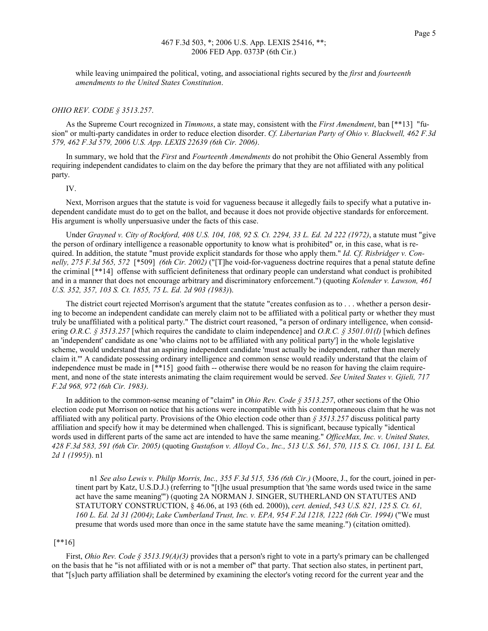while leaving unimpaired the political, voting, and associational rights secured by the *first* and *fourteenth* amendments to the United States Constitution.

#### OHIO REV. CODE § 3513.257.

As the Supreme Court recognized in Timmons, a state may, consistent with the First Amendment, ban [\*\*13] "fusion" or multi-party candidates in order to reduce election disorder. Cf. Libertarian Party of Ohio v. Blackwell, 462 F.3d 579, 462 F.3d 579, 2006 U.S. App. LEXIS 22639 (6th Cir. 2006).

In summary, we hold that the First and Fourteenth Amendments do not prohibit the Ohio General Assembly from requiring independent candidates to claim on the day before the primary that they are not affiliated with any political party.

IV.

 Next, Morrison argues that the statute is void for vagueness because it allegedly fails to specify what a putative in- dependent candidate must do to get on the ballot, and because it does not provide objective standards for enforcement. His argument is wholly unpersuasive under the facts of this case.

Under Grayned v. City of Rockford, 408 U.S. 104, 108, 92 S. Ct. 2294, 33 L. Ed. 2d 222 (1972), a statute must "give the person of ordinary intelligence a reasonable opportunity to know what is prohibited" or, in this case, what is required. In addition, the statute "must provide explicit standards for those who apply them." Id. Cf. Risbridger v. Connelly, 275 F.3d 565, 572 [\*509] (6th Cir. 2002) ("[T]he void-for-vagueness doctrine requires that a penal statute define the criminal [\*\*14] offense with sufficient definiteness that ordinary people can understand what conduct is prohibited and in a manner that does not encourage arbitrary and discriminatory enforcement.") (quoting Kolender v. Lawson, 461 U.S. 352, 357, 103 S. Ct. 1855, 75 L. Ed. 2d 903 (1983)).

 The district court rejected Morrison's argument that the statute "creates confusion as to . . . whether a person desir- ing to become an independent candidate can merely claim not to be affiliated with a political party or whether they must truly be unaffiliated with a political party." The district court reasoned, "a person of ordinary intelligence, when considering O.R.C. § 3513.257 [which requires the candidate to claim independence] and O.R.C. § 3501.01(I) [which defines an 'independent' candidate as one 'who claims not to be affiliated with any political party'] in the whole legislative scheme, would understand that an aspiring independent candidate 'must actually be independent, rather than merely claim it.'" A candidate possessing ordinary intelligence and common sense would readily understand that the claim of independence must be made in [\*\*15] good faith -- otherwise there would be no reason for having the claim requirement, and none of the state interests animating the claim requirement would be served. See United States v. Gjieli, 717 F.2d 968, 972 (6th Cir. 1983).

In addition to the common-sense meaning of "claim" in *Ohio Rev. Code §* 3513.257, other sections of the Ohio election code put Morrison on notice that his actions were incompatible with his contemporaneous claim that he was not affiliated with any political party. Provisions of the Ohio election code other than  $\frac{2513.257}{3513.257}$  discuss political party affiliation and specify how it may be determined when challenged. This is significant, because typically "identical words used in different parts of the same act are intended to have the same meaning." OfficeMax, Inc. v. United States, 428 F.3d 583, 591 (6th Cir. 2005) (quoting Gustafson v. Alloyd Co., Inc., 513 U.S. 561, 570, 115 S. Ct. 1061, 131 L. Ed. 2*d 1 (1995)*). n1

n1 See also Lewis v. Philip Morris, Inc., 355 F.3d 515, 536 (6th Cir.) (Moore, J., for the court, joined in per- tinent part by Katz, U.S.D.J.) (referring to "[t]he usual presumption that 'the same words used twice in the same act have the same meaning"') (quoting 2A NORMAN J. SINGER, SUTHERLAND ON STATUTES AND STATUTORY CONSTRUCTION, § 46.06, at 193 (6th ed. 2000)), cert. denied, 543 U.S. 821, 125 S. Ct. 61, 160 L. Ed. 2d 31 (2004); Lake Cumberland Trust, Inc. v. EPA, 954 F.2d 1218, 1222 (6th Cir. 1994) ("We must presume that words used more than once in the same statute have the same meaning.") (citation omitted).

[\*\*16]

First, *Ohio Rev. Code* § 3513.19(A)(3) provides that a person's right to vote in a party's primary can be challenged on the basis that he "is not affiliated with or is not a member of" that party. That section also states, in pertinent part, that "[s]uch party affiliation shall be determined by examining the elector's voting record for the current year and the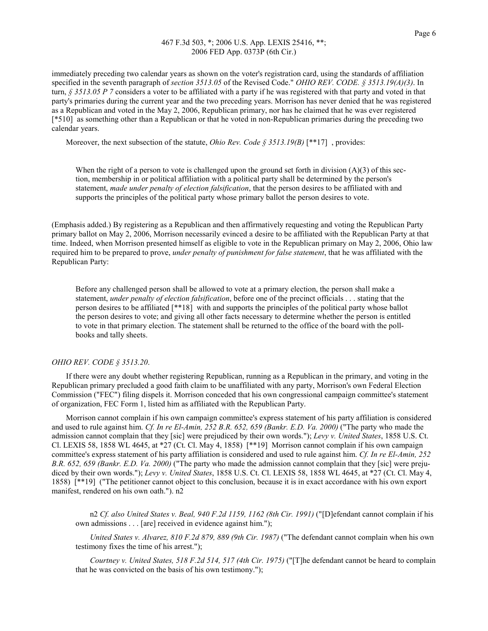immediately preceding two calendar years as shown on the voter's registration card, using the standards of affiliation specified in the seventh paragraph of section 3513.05 of the Revised Code." OHIO REV. CODE.  $\S$  3513.19(A)(3). In turn,  $\S 3513.05 P 7$  considers a voter to be affiliated with a party if he was registered with that party and voted in that party's primaries during the current year and the two preceding years. Morrison has never denied that he was registered as a Republican and voted in the May 2, 2006, Republican primary, nor has he claimed that he was ever registered [\*510] as something other than a Republican or that he voted in non-Republican primaries during the preceding two calendar years.

Moreover, the next subsection of the statute, *Ohio Rev. Code*  $\hat{S}$  3513.19(B) [\*\*17], provides:

When the right of a person to vote is challenged upon the ground set forth in division  $(A)(3)$  of this sec- tion, membership in or political affiliation with a political party shall be determined by the person's statement, made under penalty of election falsification, that the person desires to be affiliated with and supports the principles of the political party whose primary ballot the person desires to vote.

 (Emphasis added.) By registering as a Republican and then affirmatively requesting and voting the Republican Party primary ballot on May 2, 2006, Morrison necessarily evinced a desire to be affiliated with the Republican Party at that time. Indeed, when Morrison presented himself as eligible to vote in the Republican primary on May 2, 2006, Ohio law required him to be prepared to prove, *under penalty of punishment for false statement*, that he was affiliated with the Republican Party:

 Before any challenged person shall be allowed to vote at a primary election, the person shall make a statement, *under penalty of election falsification*, before one of the precinct officials . . . stating that the person desires to be affiliated [\*\*18] with and supports the principles of the political party whose ballot the person desires to vote; and giving all other facts necessary to determine whether the person is entitled to vote in that primary election. The statement shall be returned to the office of the board with the poll-books and tally sheets.

#### OHIO REV. CODE § 3513.20.

 If there were any doubt whether registering Republican, running as a Republican in the primary, and voting in the Republican primary precluded a good faith claim to be unaffiliated with any party, Morrison's own Federal Election Commission ("FEC") filing dispels it. Morrison conceded that his own congressional campaign committee's statement of organization, FEC Form 1, listed him as affiliated with the Republican Party.

 Morrison cannot complain if his own campaign committee's express statement of his party affiliation is considered and used to rule against him. *Cf. In re El-Amin*, 252 B.R. 652, 659 (Bankr. E.D. Va. 2000) ("The party who made the admission cannot complain that they [sic] were prejudiced by their own words."); Levy v. United States, 1858 U.S. Ct. Cl. LEXIS 58, 1858 WL 4645, at \*27 (Ct. Cl. May 4, 1858)  $[$ \*\*19] Morrison cannot complain if his own campaign committee's express statement of his party affiliation is considered and used to rule against him. Cf. In re El-Amin, 252 B.R. 652, 659 (Bankr. E.D. Va. 2000) ("The party who made the admission cannot complain that they [sic] were prejudiced by their own words."); Levy v. United States, 1858 U.S. Ct. Cl. LEXIS 58, 1858 WL 4645, at \*27 (Ct. Cl. May 4, 1858) [\*\*19] ("The petitioner cannot object to this conclusion, because it is in exact accordance with his own export manifest, rendered on his own oath."). n2

 n2 Cf. also United States v. Beal, 940 F.2d 1159, 1162 (8th Cir. 1991) ("[D]efendant cannot complain if his own admissions . . . [are] received in evidence against him.");

United States v. Alvarez, 810 F.2d 879, 889 (9th Cir. 1987) ("The defendant cannot complain when his own testimony fixes the time of his arrest.");

Courtney v. United States, 518 F.2d 514, 517 (4th Cir. 1975) ("[T]he defendant cannot be heard to complain that he was convicted on the basis of his own testimony.");